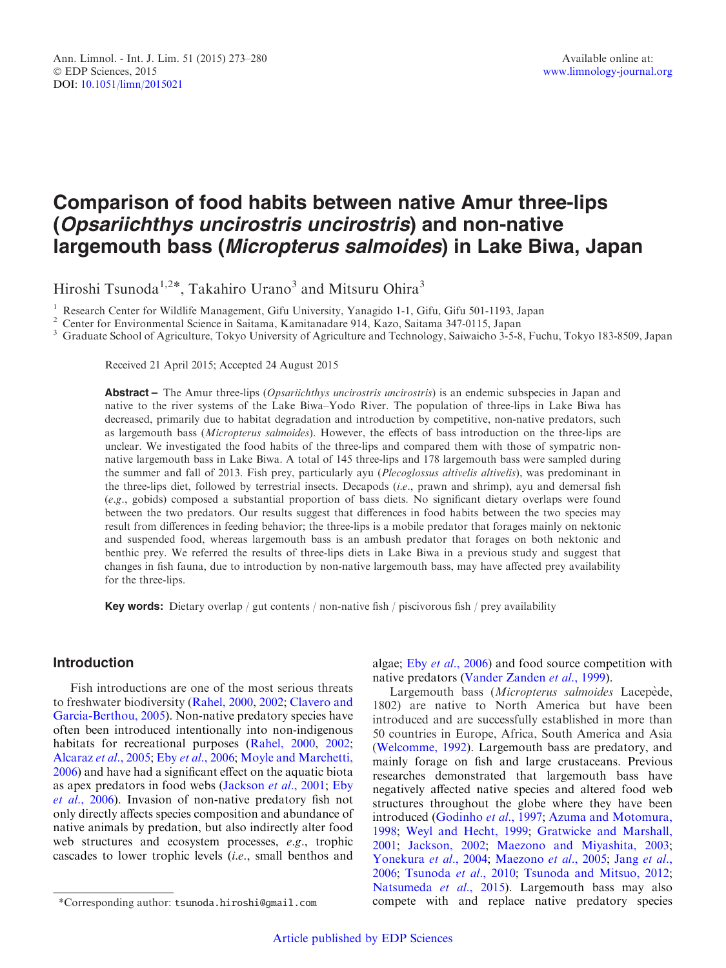# Comparison of food habits between native Amur three-lips (Opsariichthys uncirostris uncirostris) and non-native largemouth bass (Micropterus salmoides) in Lake Biwa, Japan

Hiroshi Tsunoda<sup>1,2\*</sup>, Takahiro Urano<sup>3</sup> and Mitsuru Ohira<sup>3</sup>

<sup>1</sup> Research Center for Wildlife Management, Gifu University, Yanagido 1-1, Gifu, Gifu 501-1193, Japan<br><sup>2</sup> Center for Environmental Science in Saitama, Kamitanadare 914, Kazo, Saitama 347-0115, Japan<br><sup>3</sup> Graduate School o

Received 21 April 2015; Accepted 24 August 2015

Abstract – The Amur three-lips (*Opsariichthys uncirostris uncirostris*) is an endemic subspecies in Japan and native to the river systems of the Lake Biwa–Yodo River. The population of three-lips in Lake Biwa has decreased, primarily due to habitat degradation and introduction by competitive, non-native predators, such as largemouth bass (Micropterus salmoides). However, the effects of bass introduction on the three-lips are unclear. We investigated the food habits of the three-lips and compared them with those of sympatric nonnative largemouth bass in Lake Biwa. A total of 145 three-lips and 178 largemouth bass were sampled during the summer and fall of 2013. Fish prey, particularly ayu (Plecoglossus altivelis altivelis), was predominant in the three-lips diet, followed by terrestrial insects. Decapods (i.e., prawn and shrimp), ayu and demersal fish (e.g., gobids) composed a substantial proportion of bass diets. No significant dietary overlaps were found between the two predators. Our results suggest that differences in food habits between the two species may result from differences in feeding behavior; the three-lips is a mobile predator that forages mainly on nektonic and suspended food, whereas largemouth bass is an ambush predator that forages on both nektonic and benthic prey. We referred the results of three-lips diets in Lake Biwa in a previous study and suggest that changes in fish fauna, due to introduction by non-native largemouth bass, may have affected prey availability for the three-lips.

Key words: Dietary overlap / gut contents / non-native fish / piscivorous fish / prey availability

# Introduction

Fish introductions are one of the most serious threats to freshwater biodiversity [\(Rahel, 2000,](#page-7-0) [2002;](#page-7-0) [Clavero and](#page-5-0) [Garcia-Berthou, 2005\)](#page-5-0). Non-native predatory species have often been introduced intentionally into non-indigenous habitats for recreational purposes [\(Rahel, 2000,](#page-7-0) [2002;](#page-7-0) [Alcaraz](#page-5-0) et al., 2005; Eby et al[., 2006](#page-6-0); [Moyle and Marchetti,](#page-6-0) [2006](#page-6-0)) and have had a significant effect on the aquatic biota as apex predators in food webs [\(Jackson](#page-6-0) et al., 2001; [Eby](#page-6-0) et al[., 2006\)](#page-6-0). Invasion of non-native predatory fish not only directly affects species composition and abundance of native animals by predation, but also indirectly alter food web structures and ecosystem processes, e.g., trophic cascades to lower trophic levels (i.e., small benthos and

algae; Eby et al.[, 2006](#page-6-0)) and food source competition with native predators [\(Vander Zanden](#page-7-0) et al., 1999).

Largemouth bass (Micropterus salmoides Lacepède, 1802) are native to North America but have been introduced and are successfully established in more than 50 countries in Europe, Africa, South America and Asia ([Welcomme, 1992\)](#page-7-0). Largemouth bass are predatory, and mainly forage on fish and large crustaceans. Previous researches demonstrated that largemouth bass have negatively affected native species and altered food web structures throughout the globe where they have been introduced ([Godinho](#page-6-0) et al., 1997; [Azuma and Motomura,](#page-5-0) [1998;](#page-5-0) [Weyl and Hecht, 1999](#page-7-0); [Gratwicke and Marshall,](#page-6-0) [2001;](#page-6-0) [Jackson, 2002](#page-6-0); [Maezono and Miyashita, 2003;](#page-6-0) [Yonekura](#page-7-0) et al., 2004; [Maezono](#page-6-0) et al., 2005; [Jang](#page-6-0) et al., [2006;](#page-6-0) [Tsunoda](#page-7-0) et al., 2010; [Tsunoda and Mitsuo, 2012](#page-7-0); [Natsumeda](#page-6-0) et al., 2015). Largemouth bass may also \*Corresponding author: tsunoda.hiroshi@gmail.com compete with and replace native predatory species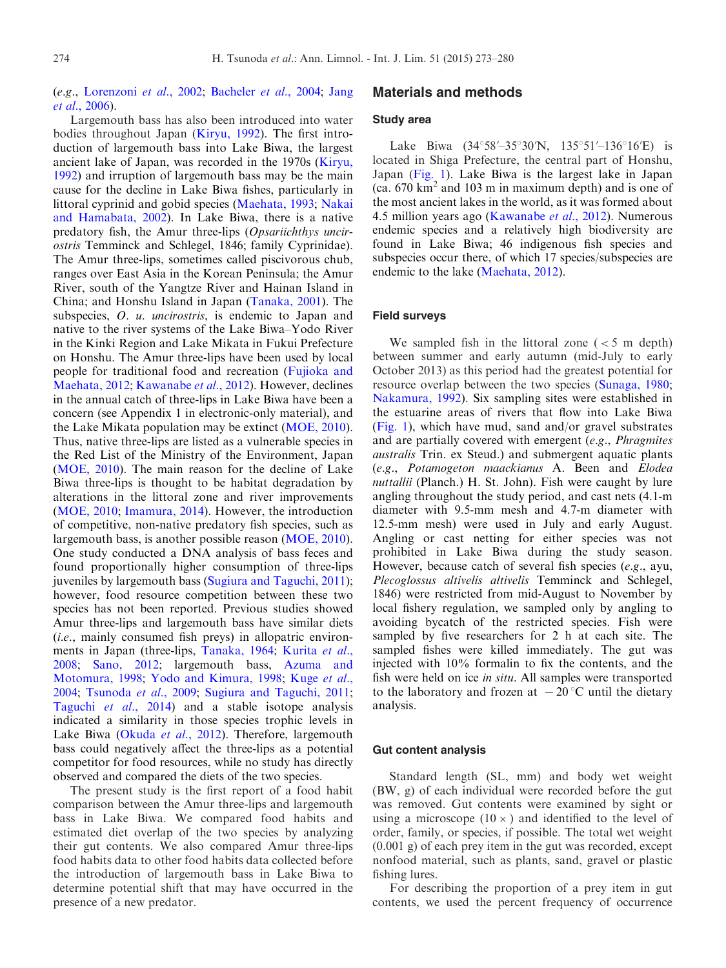(e.g., [Lorenzoni](#page-6-0) et al., 2002; [Bacheler](#page-5-0) et al., 2004; [Jang](#page-6-0) et al[., 2006\)](#page-6-0).

Largemouth bass has also been introduced into water bodies throughout Japan [\(Kiryu, 1992](#page-6-0)). The first introduction of largemouth bass into Lake Biwa, the largest ancient lake of Japan, was recorded in the 1970s ([Kiryu,](#page-6-0) [1992](#page-6-0)) and irruption of largemouth bass may be the main cause for the decline in Lake Biwa fishes, particularly in littoral cyprinid and gobid species [\(Maehata, 1993;](#page-6-0) [Nakai](#page-6-0) [and Hamabata, 2002\)](#page-6-0). In Lake Biwa, there is a native predatory fish, the Amur three-lips (Opsariichthys uncirostris Temminck and Schlegel, 1846; family Cyprinidae). The Amur three-lips, sometimes called piscivorous chub, ranges over East Asia in the Korean Peninsula; the Amur River, south of the Yangtze River and Hainan Island in China; and Honshu Island in Japan [\(Tanaka, 2001\)](#page-7-0). The subspecies, *O. u. uncirostris*, is endemic to Japan and native to the river systems of the Lake Biwa–Yodo River in the Kinki Region and Lake Mikata in Fukui Prefecture on Honshu. The Amur three-lips have been used by local people for traditional food and recreation ([Fujioka and](#page-6-0) [Maehata, 2012](#page-6-0); [Kawanabe](#page-6-0) et al., 2012). However, declines in the annual catch of three-lips in Lake Biwa have been a concern (see Appendix 1 in electronic-only material), and the Lake Mikata population may be extinct [\(MOE, 2010\)](#page-6-0). Thus, native three-lips are listed as a vulnerable species in the Red List of the Ministry of the Environment, Japan ([MOE, 2010\)](#page-6-0). The main reason for the decline of Lake Biwa three-lips is thought to be habitat degradation by alterations in the littoral zone and river improvements ([MOE, 2010;](#page-6-0) [Imamura, 2014](#page-6-0)). However, the introduction of competitive, non-native predatory fish species, such as largemouth bass, is another possible reason [\(MOE, 2010\)](#page-6-0). One study conducted a DNA analysis of bass feces and found proportionally higher consumption of three-lips juveniles by largemouth bass [\(Sugiura and Taguchi, 2011\)](#page-7-0); however, food resource competition between these two species has not been reported. Previous studies showed Amur three-lips and largemouth bass have similar diets (i.e., mainly consumed fish preys) in allopatric environ-ments in Japan (three-lips, [Tanaka, 1964;](#page-7-0) [Kurita](#page-6-0) et al., [2008](#page-6-0); [Sano, 2012](#page-7-0); largemouth bass, [Azuma and](#page-5-0) [Motomura, 1998;](#page-5-0) [Yodo and Kimura, 1998](#page-7-0); [Kuge](#page-6-0) et al., [2004](#page-6-0); [Tsunoda](#page-7-0) et al., 2009; [Sugiura and Taguchi, 2011;](#page-7-0) [Taguchi](#page-7-0) et al., 2014) and a stable isotope analysis indicated a similarity in those species trophic levels in Lake Biwa (Okuda et al[., 2012\)](#page-7-0). Therefore, largemouth bass could negatively affect the three-lips as a potential competitor for food resources, while no study has directly observed and compared the diets of the two species.

The present study is the first report of a food habit comparison between the Amur three-lips and largemouth bass in Lake Biwa. We compared food habits and estimated diet overlap of the two species by analyzing their gut contents. We also compared Amur three-lips food habits data to other food habits data collected before the introduction of largemouth bass in Lake Biwa to determine potential shift that may have occurred in the presence of a new predator.

# Materials and methods

#### Study area

Lake Biwa  $(34^{\circ}58' - 35^{\circ}30'N, 135^{\circ}51' - 136^{\circ}16'E)$  is located in Shiga Prefecture, the central part of Honshu, Japan ([Fig. 1\)](#page-2-0). Lake Biwa is the largest lake in Japan (ca.  $670 \text{ km}^2$  and  $103 \text{ m}$  in maximum depth) and is one of the most ancient lakes in the world, as it was formed about 4.5 million years ago ([Kawanabe](#page-6-0) et al., 2012). Numerous endemic species and a relatively high biodiversity are found in Lake Biwa; 46 indigenous fish species and subspecies occur there, of which 17 species/subspecies are endemic to the lake ([Maehata, 2012](#page-6-0)).

#### Field surveys

We sampled fish in the littoral zone  $(< 5$  m depth) between summer and early autumn (mid-July to early October 2013) as this period had the greatest potential for resource overlap between the two species [\(Sunaga, 1980;](#page-7-0) [Nakamura, 1992](#page-6-0)). Six sampling sites were established in the estuarine areas of rivers that flow into Lake Biwa ([Fig. 1\)](#page-2-0), which have mud, sand and/or gravel substrates and are partially covered with emergent  $(e.g., Phragmites)$ australis Trin. ex Steud.) and submergent aquatic plants (e.g., Potamogeton maackianus A. Been and Elodea nuttallii (Planch.) H. St. John). Fish were caught by lure angling throughout the study period, and cast nets (4.1-m diameter with 9.5-mm mesh and 4.7-m diameter with 12.5-mm mesh) were used in July and early August. Angling or cast netting for either species was not prohibited in Lake Biwa during the study season. However, because catch of several fish species  $(e.g., a$ yu, Plecoglossus altivelis altivelis Temminck and Schlegel, 1846) were restricted from mid-August to November by local fishery regulation, we sampled only by angling to avoiding bycatch of the restricted species. Fish were sampled by five researchers for 2 h at each site. The sampled fishes were killed immediately. The gut was injected with 10% formalin to fix the contents, and the fish were held on ice in situ. All samples were transported to the laboratory and frozen at  $-20$  °C until the dietary analysis.

#### Gut content analysis

Standard length (SL, mm) and body wet weight (BW, g) of each individual were recorded before the gut was removed. Gut contents were examined by sight or using a microscope  $(10 \times)$  and identified to the level of order, family, or species, if possible. The total wet weight (0.001 g) of each prey item in the gut was recorded, except nonfood material, such as plants, sand, gravel or plastic fishing lures.

For describing the proportion of a prey item in gut contents, we used the percent frequency of occurrence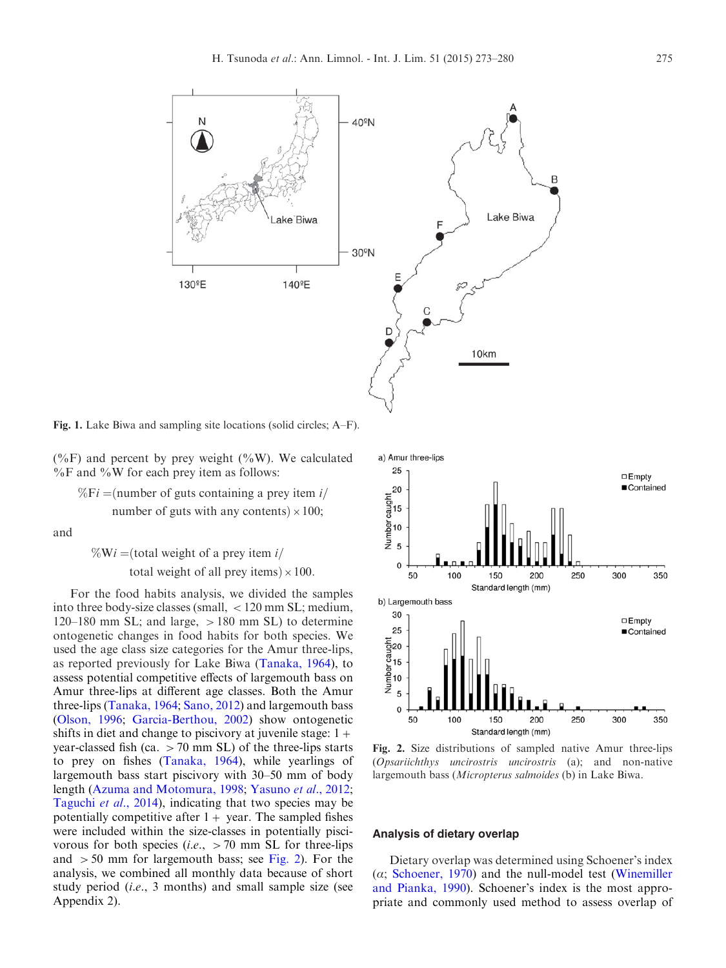<span id="page-2-0"></span>

Fig. 1. Lake Biwa and sampling site locations (solid circles; A–F).

(%F) and percent by prey weight (%W). We calculated  $\%$ F and  $\%$ W for each prey item as follows:

 $\%Fi =$ (number of guts containing a prey item i/ number of guts with any contents)  $\times 100$ ;

and

$$
\%Wi = (total weight of a prey item i/total weight of all prey items) \times 100.
$$

For the food habits analysis, we divided the samples into three body-size classes (small,  $\langle 120 \text{ mm SL}; \text{medium}, \rangle$  $120-180$  mm SL; and large,  $>180$  mm SL) to determine ontogenetic changes in food habits for both species. We used the age class size categories for the Amur three-lips, as reported previously for Lake Biwa ([Tanaka, 1964](#page-7-0)), to assess potential competitive effects of largemouth bass on Amur three-lips at different age classes. Both the Amur three-lips [\(Tanaka, 1964;](#page-7-0) [Sano, 2012\)](#page-7-0) and largemouth bass ([Olson, 1996](#page-7-0); [Garcia-Berthou, 2002\)](#page-6-0) show ontogenetic shifts in diet and change to piscivory at juvenile stage:  $1+$ year-classed fish (ca.  $>70$  mm SL) of the three-lips starts to prey on fishes ([Tanaka, 1964](#page-7-0)), while yearlings of largemouth bass start piscivory with 30–50 mm of body length ([Azuma and Motomura, 1998;](#page-5-0) [Yasuno](#page-7-0) et al., 2012; [Taguchi](#page-7-0) et al., 2014), indicating that two species may be potentially competitive after  $1+$  year. The sampled fishes were included within the size-classes in potentially piscivorous for both species (*i.e.*,  $>70$  mm SL for three-lips and  $>50$  mm for largemouth bass; see Fig. 2). For the analysis, we combined all monthly data because of short study period (i.e., 3 months) and small sample size (see Appendix 2).



Fig. 2. Size distributions of sampled native Amur three-lips (Opsariichthys uncirostris uncirostris (a); and non-native largemouth bass (Micropterus salmoides (b) in Lake Biwa.

#### Analysis of dietary overlap

Dietary overlap was determined using Schoener's index  $(\alpha;$  [Schoener, 1970\)](#page-7-0) and the null-model test ([Winemiller](#page-7-0) [and Pianka, 1990](#page-7-0)). Schoener's index is the most appropriate and commonly used method to assess overlap of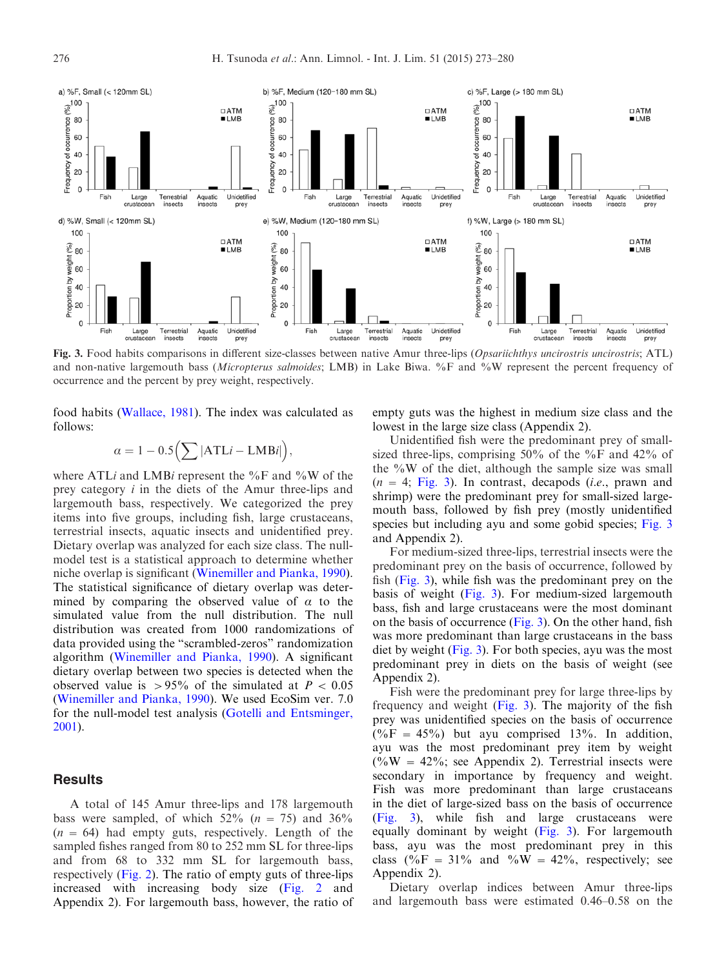

Fig. 3. Food habits comparisons in different size-classes between native Amur three-lips (Opsariichthys uncirostris uncirostris; ATL) and non-native largemouth bass (Micropterus salmoides; LMB) in Lake Biwa. %F and %W represent the percent frequency of occurrence and the percent by prey weight, respectively.

food habits [\(Wallace, 1981](#page-7-0)). The index was calculated as follows:

$$
\alpha = 1 - 0.5 \Big( \sum |ATLi - LMBi| \Big),
$$

where ATLi and LMBi represent the  $\%$ F and  $\%$ W of the prey category i in the diets of the Amur three-lips and largemouth bass, respectively. We categorized the prey items into five groups, including fish, large crustaceans, terrestrial insects, aquatic insects and unidentified prey. Dietary overlap was analyzed for each size class. The nullmodel test is a statistical approach to determine whether niche overlap is significant [\(Winemiller and Pianka, 1990\)](#page-7-0). The statistical significance of dietary overlap was determined by comparing the observed value of  $\alpha$  to the simulated value from the null distribution. The null distribution was created from 1000 randomizations of data provided using the "scrambled-zeros" randomization algorithm [\(Winemiller and Pianka, 1990\)](#page-7-0). A significant dietary overlap between two species is detected when the observed value is  $>95\%$  of the simulated at  $P < 0.05$ ([Winemiller and Pianka, 1990](#page-7-0)). We used EcoSim ver. 7.0 for the null-model test analysis [\(Gotelli and Entsminger,](#page-6-0) [2001](#page-6-0)).

## **Results**

A total of 145 Amur three-lips and 178 largemouth bass were sampled, of which  $52\%$  ( $n = 75$ ) and  $36\%$  $(n = 64)$  had empty guts, respectively. Length of the sampled fishes ranged from 80 to 252 mm SL for three-lips and from 68 to 332 mm SL for largemouth bass, respectively [\(Fig. 2](#page-2-0)). The ratio of empty guts of three-lips increased with increasing body size [\(Fig. 2](#page-2-0) and Appendix 2). For largemouth bass, however, the ratio of empty guts was the highest in medium size class and the lowest in the large size class (Appendix 2).

Unidentified fish were the predominant prey of smallsized three-lips, comprising 50% of the %F and 42% of the  $\%W$  of the diet, although the sample size was small  $(n = 4; Fig. 3)$ . In contrast, decapods *(i.e.*, prawn and shrimp) were the predominant prey for small-sized largemouth bass, followed by fish prey (mostly unidentified species but including ayu and some gobid species; Fig. 3 and Appendix 2).

For medium-sized three-lips, terrestrial insects were the predominant prey on the basis of occurrence, followed by fish (Fig. 3), while fish was the predominant prey on the basis of weight (Fig. 3). For medium-sized largemouth bass, fish and large crustaceans were the most dominant on the basis of occurrence (Fig. 3). On the other hand, fish was more predominant than large crustaceans in the bass diet by weight (Fig. 3). For both species, ayu was the most predominant prey in diets on the basis of weight (see Appendix 2).

Fish were the predominant prey for large three-lips by frequency and weight (Fig. 3). The majority of the fish prey was unidentified species on the basis of occurrence  $(\%F = 45\%)$  but ayu comprised 13%. In addition, ayu was the most predominant prey item by weight  $(^{0}\%W = 42\%$ ; see Appendix 2). Terrestrial insects were secondary in importance by frequency and weight. Fish was more predominant than large crustaceans in the diet of large-sized bass on the basis of occurrence (Fig. 3), while fish and large crustaceans were equally dominant by weight (Fig. 3). For largemouth bass, ayu was the most predominant prey in this class  $(\%F = 31\%$  and  $\%W = 42\%$ , respectively; see Appendix 2).

Dietary overlap indices between Amur three-lips and largemouth bass were estimated 0.46–0.58 on the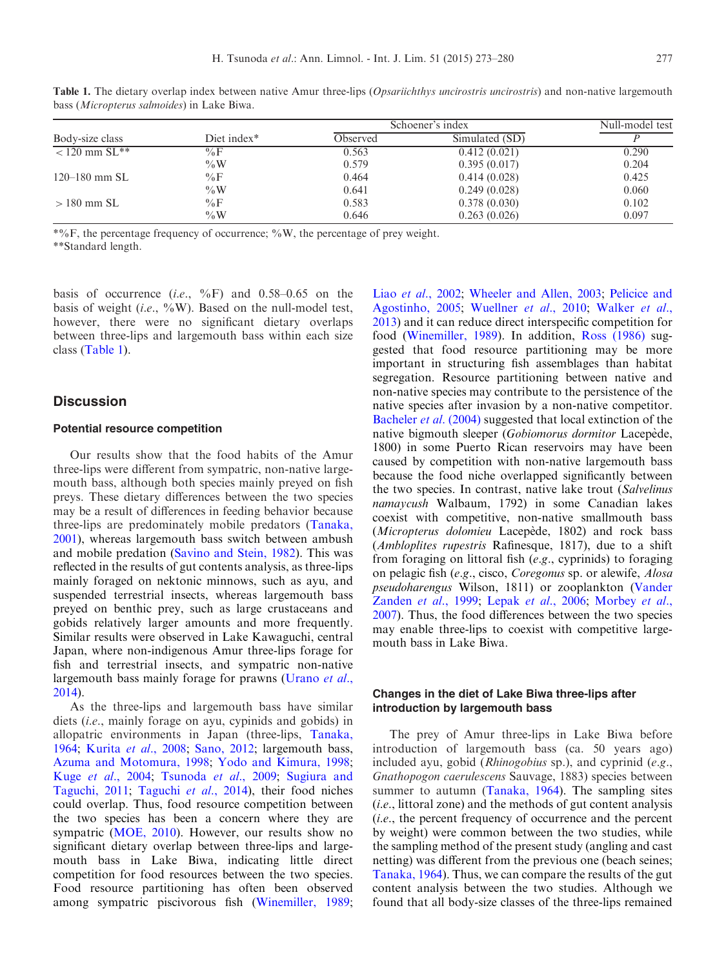| Body-size class      | Diet index* | Schoener's index |                | Null-model test |
|----------------------|-------------|------------------|----------------|-----------------|
|                      |             | Observed         | Simulated (SD) |                 |
| $< 120$ mm $SL^{**}$ | $\%$ F      | 0.563            | 0.412(0.021)   | 0.290           |
|                      | $\%W$       | 0.579            | 0.395(0.017)   | 0.204           |
| $120 - 180$ mm SL    | $\%$ F      | 0.464            | 0.414(0.028)   | 0.425           |
|                      | $\%W$       | 0.641            | 0.249(0.028)   | 0.060           |
| $>180$ mm SL         | $\%$ F      | 0.583            | 0.378(0.030)   | 0.102           |

%W 0.646 0.263 (0.026) 0.097

Table 1. The dietary overlap index between native Amur three-lips (Opsariichthys uncirostris uncirostris) and non-native largemouth bass (Micropterus salmoides) in Lake Biwa.

 $*$ %F, the percentage frequency of occurrence; %W, the percentage of prey weight.

\*\*Standard length.

basis of occurrence  $(i.e., \frac{9}{6})$  and 0.58–0.65 on the basis of weight (i.e.,  $\sqrt[6]{w}$ ). Based on the null-model test, however, there were no significant dietary overlaps between three-lips and largemouth bass within each size class (Table 1).

### **Discussion**

#### Potential resource competition

Our results show that the food habits of the Amur three-lips were different from sympatric, non-native largemouth bass, although both species mainly preyed on fish preys. These dietary differences between the two species may be a result of differences in feeding behavior because three-lips are predominately mobile predators [\(Tanaka,](#page-7-0) [2001](#page-7-0)), whereas largemouth bass switch between ambush and mobile predation [\(Savino and Stein, 1982](#page-7-0)). This was reflected in the results of gut contents analysis, as three-lips mainly foraged on nektonic minnows, such as ayu, and suspended terrestrial insects, whereas largemouth bass preyed on benthic prey, such as large crustaceans and gobids relatively larger amounts and more frequently. Similar results were observed in Lake Kawaguchi, central Japan, where non-indigenous Amur three-lips forage for fish and terrestrial insects, and sympatric non-native largemouth bass mainly forage for prawns [\(Urano](#page-7-0) et al., [2014](#page-7-0)).

As the three-lips and largemouth bass have similar diets (i.e., mainly forage on ayu, cypinids and gobids) in allopatric environments in Japan (three-lips, [Tanaka,](#page-7-0) [1964](#page-7-0); Kurita et al[., 2008;](#page-6-0) [Sano, 2012](#page-7-0); largemouth bass, [Azuma and Motomura, 1998;](#page-5-0) [Yodo and Kimura, 1998;](#page-7-0) Kuge et al[., 2004;](#page-6-0) [Tsunoda](#page-7-0) et al., 2009; [Sugiura and](#page-7-0) [Taguchi, 2011;](#page-7-0) [Taguchi](#page-7-0) et al., 2014), their food niches could overlap. Thus, food resource competition between the two species has been a concern where they are sympatric [\(MOE, 2010\)](#page-6-0). However, our results show no significant dietary overlap between three-lips and largemouth bass in Lake Biwa, indicating little direct competition for food resources between the two species. Food resource partitioning has often been observed among sympatric piscivorous fish [\(Winemiller, 1989;](#page-7-0)

Liao et al[., 2002](#page-6-0); [Wheeler and Allen, 2003](#page-7-0); [Pelicice and](#page-7-0) [Agostinho, 2005](#page-7-0); [Wuellner](#page-7-0) et al., 2010; [Walker](#page-7-0) et al., [2013\)](#page-7-0) and it can reduce direct interspecific competition for food ([Winemiller, 1989](#page-7-0)). In addition, [Ross \(1986\)](#page-7-0) suggested that food resource partitioning may be more important in structuring fish assemblages than habitat segregation. Resource partitioning between native and non-native species may contribute to the persistence of the native species after invasion by a non-native competitor. [Bacheler](#page-5-0) et al. (2004) suggested that local extinction of the native bigmouth sleeper (Gobiomorus dormitor Lacepède, 1800) in some Puerto Rican reservoirs may have been caused by competition with non-native largemouth bass because the food niche overlapped significantly between the two species. In contrast, native lake trout (Salvelinus namaycush Walbaum, 1792) in some Canadian lakes coexist with competitive, non-native smallmouth bass (Micropterus dolomieu Lacepède, 1802) and rock bass (Ambloplites rupestris Rafinesque, 1817), due to a shift from foraging on littoral fish (e.g., cyprinids) to foraging on pelagic fish (e.g., cisco, Coregonus sp. or alewife, Alosa pseudoharengus Wilson, 1811) or zooplankton [\(Vander](#page-7-0) [Zanden](#page-7-0) et al., 1999; Lepak et al[., 2006;](#page-6-0) [Morbey](#page-6-0) et al., [2007\)](#page-6-0). Thus, the food differences between the two species may enable three-lips to coexist with competitive largemouth bass in Lake Biwa.

### Changes in the diet of Lake Biwa three-lips after introduction by largemouth bass

The prey of Amur three-lips in Lake Biwa before introduction of largemouth bass (ca. 50 years ago) included ayu, gobid (Rhinogobius sp.), and cyprinid (e.g., Gnathopogon caerulescens Sauvage, 1883) species between summer to autumn ([Tanaka, 1964\)](#page-7-0). The sampling sites (i.e., littoral zone) and the methods of gut content analysis (i.e., the percent frequency of occurrence and the percent by weight) were common between the two studies, while the sampling method of the present study (angling and cast netting) was different from the previous one (beach seines; [Tanaka, 1964\)](#page-7-0). Thus, we can compare the results of the gut content analysis between the two studies. Although we found that all body-size classes of the three-lips remained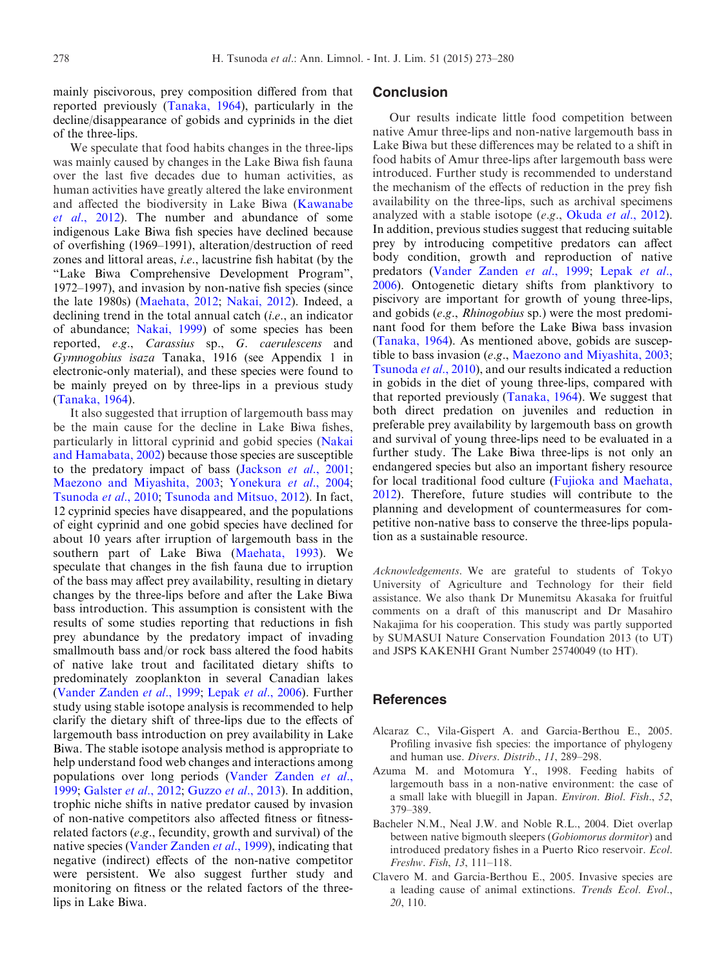<span id="page-5-0"></span>mainly piscivorous, prey composition differed from that reported previously [\(Tanaka, 1964\)](#page-7-0), particularly in the decline/disappearance of gobids and cyprinids in the diet of the three-lips.

We speculate that food habits changes in the three-lips was mainly caused by changes in the Lake Biwa fish fauna over the last five decades due to human activities, as human activities have greatly altered the lake environment and affected the biodiversity in Lake Biwa ([Kawanabe](#page-6-0) et al[., 2012\)](#page-6-0). The number and abundance of some indigenous Lake Biwa fish species have declined because of overfishing (1969–1991), alteration/destruction of reed zones and littoral areas, i.e., lacustrine fish habitat (by the "Lake Biwa Comprehensive Development Program", 1972–1997), and invasion by non-native fish species (since the late 1980s) ([Maehata, 2012](#page-6-0); [Nakai, 2012\)](#page-6-0). Indeed, a declining trend in the total annual catch *(i.e., an indicator* of abundance; [Nakai, 1999](#page-6-0)) of some species has been reported, e.g., Carassius sp., G. caerulescens and Gymnogobius isaza Tanaka, 1916 (see Appendix 1 in electronic-only material), and these species were found to be mainly preyed on by three-lips in a previous study ([Tanaka, 1964\)](#page-7-0).

It also suggested that irruption of largemouth bass may be the main cause for the decline in Lake Biwa fishes, particularly in littoral cyprinid and gobid species [\(Nakai](#page-6-0) [and Hamabata, 2002\)](#page-6-0) because those species are susceptible to the predatory impact of bass [\(Jackson](#page-6-0) et al., 2001; [Maezono and Miyashita, 2003](#page-6-0); [Yonekura](#page-7-0) et al., 2004; [Tsunoda](#page-7-0) et al., 2010; [Tsunoda and Mitsuo, 2012](#page-7-0)). In fact, 12 cyprinid species have disappeared, and the populations of eight cyprinid and one gobid species have declined for about 10 years after irruption of largemouth bass in the southern part of Lake Biwa [\(Maehata, 1993\)](#page-6-0). We speculate that changes in the fish fauna due to irruption of the bass may affect prey availability, resulting in dietary changes by the three-lips before and after the Lake Biwa bass introduction. This assumption is consistent with the results of some studies reporting that reductions in fish prey abundance by the predatory impact of invading smallmouth bass and/or rock bass altered the food habits of native lake trout and facilitated dietary shifts to predominately zooplankton in several Canadian lakes ([Vander Zanden](#page-7-0) et al., 1999; Lepak et al[., 2006](#page-6-0)). Further study using stable isotope analysis is recommended to help clarify the dietary shift of three-lips due to the effects of largemouth bass introduction on prey availability in Lake Biwa. The stable isotope analysis method is appropriate to help understand food web changes and interactions among populations over long periods [\(Vander Zanden](#page-7-0) et al., [1999](#page-7-0); [Galster](#page-6-0) et al., 2012; Guzzo et al[., 2013\)](#page-6-0). In addition, trophic niche shifts in native predator caused by invasion of non-native competitors also affected fitness or fitnessrelated factors (e.g., fecundity, growth and survival) of the native species [\(Vander Zanden](#page-7-0) et al., 1999), indicating that negative (indirect) effects of the non-native competitor were persistent. We also suggest further study and monitoring on fitness or the related factors of the threelips in Lake Biwa.

# **Conclusion**

Our results indicate little food competition between native Amur three-lips and non-native largemouth bass in Lake Biwa but these differences may be related to a shift in food habits of Amur three-lips after largemouth bass were introduced. Further study is recommended to understand the mechanism of the effects of reduction in the prey fish availability on the three-lips, such as archival specimens analyzed with a stable isotope (e.g., Okuda et al[., 2012\)](#page-7-0). In addition, previous studies suggest that reducing suitable prey by introducing competitive predators can affect body condition, growth and reproduction of native predators ([Vander Zanden](#page-7-0) et al., 1999; [Lepak](#page-6-0) et al., [2006\)](#page-6-0). Ontogenetic dietary shifts from planktivory to piscivory are important for growth of young three-lips, and gobids (e.g., Rhinogobius sp.) were the most predominant food for them before the Lake Biwa bass invasion ([Tanaka, 1964\)](#page-7-0). As mentioned above, gobids are susceptible to bass invasion (e.g., [Maezono and Miyashita, 2003](#page-6-0); [Tsunoda](#page-7-0) et al., 2010), and our results indicated a reduction in gobids in the diet of young three-lips, compared with that reported previously ([Tanaka, 1964](#page-7-0)). We suggest that both direct predation on juveniles and reduction in preferable prey availability by largemouth bass on growth and survival of young three-lips need to be evaluated in a further study. The Lake Biwa three-lips is not only an endangered species but also an important fishery resource for local traditional food culture [\(Fujioka and Maehata,](#page-6-0) [2012\)](#page-6-0). Therefore, future studies will contribute to the planning and development of countermeasures for competitive non-native bass to conserve the three-lips population as a sustainable resource.

Acknowledgements. We are grateful to students of Tokyo University of Agriculture and Technology for their field assistance. We also thank Dr Munemitsu Akasaka for fruitful comments on a draft of this manuscript and Dr Masahiro Nakajima for his cooperation. This study was partly supported by SUMASUI Nature Conservation Foundation 2013 (to UT) and JSPS KAKENHI Grant Number 25740049 (to HT).

# **References**

- Alcaraz C., Vila-Gispert A. and Garcia-Berthou E., 2005. Profiling invasive fish species: the importance of phylogeny and human use. Divers. Distrib., 11, 289–298.
- Azuma M. and Motomura Y., 1998. Feeding habits of largemouth bass in a non-native environment: the case of a small lake with bluegill in Japan. Environ. Biol. Fish., 52, 379–389.
- Bacheler N.M., Neal J.W. and Noble R.L., 2004. Diet overlap between native bigmouth sleepers (Gobiomorus dormitor) and introduced predatory fishes in a Puerto Rico reservoir. Ecol. Freshw. Fish, 13, 111–118.
- Clavero M. and Garcia-Berthou E., 2005. Invasive species are a leading cause of animal extinctions. Trends Ecol. Evol., 20, 110.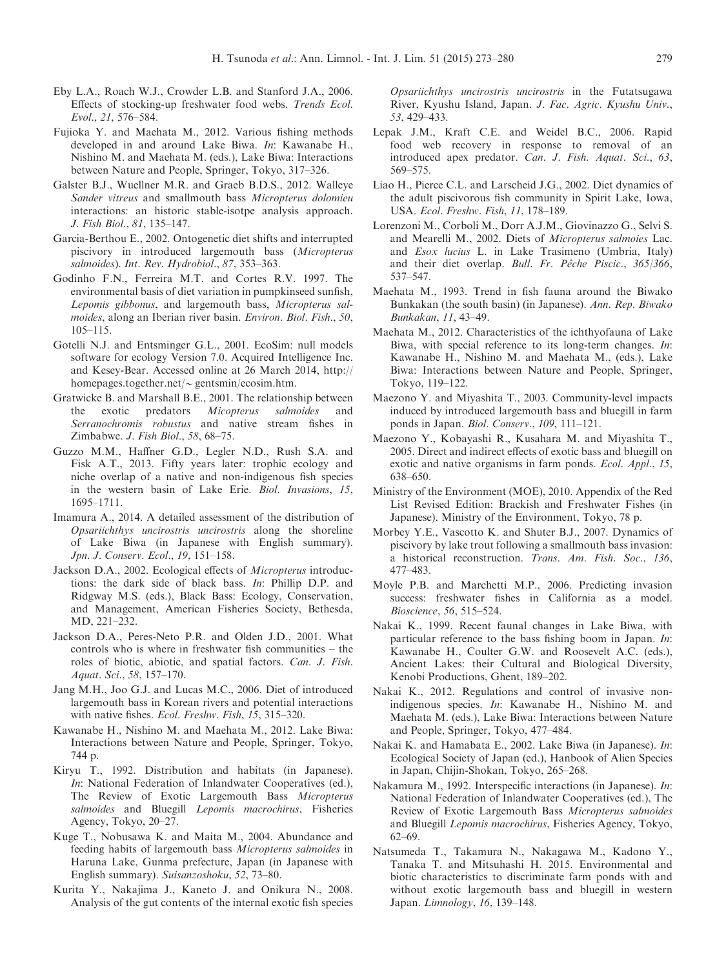- <span id="page-6-0"></span>Eby L.A., Roach W.J., Crowder L.B. and Stanford J.A., 2006. Effects of stocking-up freshwater food webs. Trends Ecol. Evol., 21, 576–584.
- Fujioka Y. and Maehata M., 2012. Various fishing methods developed in and around Lake Biwa. In: Kawanabe H., Nishino M. and Maehata M. (eds.), Lake Biwa: Interactions between Nature and People, Springer, Tokyo, 317–326.
- Galster B.J., Wuellner M.R. and Graeb B.D.S., 2012. Walleye Sander vitreus and smallmouth bass Micropterus dolomieu interactions: an historic stable-isotpe analysis approach. J. Fish Biol., 81, 135–147.
- Garcia-Berthou E., 2002. Ontogenetic diet shifts and interrupted piscivory in introduced largemouth bass (Micropterus salmoides). Int. Rev. Hydrobiol., 87, 353–363.
- Godinho F.N., Ferreira M.T. and Cortes R.V. 1997. The environmental basis of diet variation in pumpkinseed sunfish, Lepomis gibbonus, and largemouth bass, Micropterus salmoides, along an Iberian river basin. Environ. Biol. Fish., 50, 105–115.
- Gotelli N.J. and Entsminger G.L., 2001. EcoSim: null models software for ecology Version 7.0. Acquired Intelligence Inc. and Kesey-Bear. Accessed online at 26 March 2014, http:// homepages.together.net/ $\sim$  gentsmin/ecosim.htm.
- Gratwicke B. and Marshall B.E., 2001. The relationship between the exotic predators Micopterus salmoides and Serranochromis robustus and native stream fishes in Zimbabwe. J. Fish Biol., 58, 68–75.
- Guzzo M.M., Haffner G.D., Legler N.D., Rush S.A. and Fisk A.T., 2013. Fifty years later: trophic ecology and niche overlap of a native and non-indigenous fish species in the western basin of Lake Erie. Biol. Invasions, 15, 1695–1711.
- Imamura A., 2014. A detailed assessment of the distribution of Opsariichthys uncirostris uncirostris along the shoreline of Lake Biwa (in Japanese with English summary). Jpn. J. Conserv. Ecol., 19, 151–158.
- Jackson D.A., 2002. Ecological effects of Micropterus introductions: the dark side of black bass. In: Phillip D.P. and Ridgway M.S. (eds.), Black Bass: Ecology, Conservation, and Management, American Fisheries Society, Bethesda, MD, 221–232.
- Jackson D.A., Peres-Neto P.R. and Olden J.D., 2001. What controls who is where in freshwater fish communities – the roles of biotic, abiotic, and spatial factors. Can. J. Fish. Aquat. Sci., 58, 157–170.
- Jang M.H., Joo G.J. and Lucas M.C., 2006. Diet of introduced largemouth bass in Korean rivers and potential interactions with native fishes. Ecol. Freshw. Fish, 15, 315–320.
- Kawanabe H., Nishino M. and Maehata M., 2012. Lake Biwa: Interactions between Nature and People, Springer, Tokyo, 744 p.
- Kiryu T., 1992. Distribution and habitats (in Japanese). In: National Federation of Inlandwater Cooperatives (ed.), The Review of Exotic Largemouth Bass Micropterus salmoides and Bluegill Lepomis macrochirus, Fisheries Agency, Tokyo, 20–27.
- Kuge T., Nobusawa K. and Maita M., 2004. Abundance and feeding habits of largemouth bass Micropterus salmoides in Haruna Lake, Gunma prefecture, Japan (in Japanese with English summary). Suisanzoshoku, 52, 73–80.
- Kurita Y., Nakajima J., Kaneto J. and Onikura N., 2008. Analysis of the gut contents of the internal exotic fish species

Opsariichthys uncirostris uncirostris in the Futatsugawa River, Kyushu Island, Japan. J. Fac. Agric. Kyushu Univ., 53, 429–433.

- Lepak J.M., Kraft C.E. and Weidel B.C., 2006. Rapid food web recovery in response to removal of an introduced apex predator. Can. J. Fish. Aquat. Sci., 63, 569–575.
- Liao H., Pierce C.L. and Larscheid J.G., 2002. Diet dynamics of the adult piscivorous fish community in Spirit Lake, Iowa, USA. Ecol. Freshw. Fish, 11, 178–189.
- Lorenzoni M., Corboli M., Dorr A.J.M., Giovinazzo G., Selvi S. and Mearelli M., 2002. Diets of Micropterus salmoies Lac. and Esox lucius L. in Lake Trasimeno (Umbria, Italy) and their diet overlap. Bull. Fr. Pêche Piscic., 365/366, 537–547.
- Maehata M., 1993. Trend in fish fauna around the Biwako Bunkakan (the south basin) (in Japanese). Ann. Rep. Biwako Bunkakan, 11, 43–49.
- Maehata M., 2012. Characteristics of the ichthyofauna of Lake Biwa, with special reference to its long-term changes. In: Kawanabe H., Nishino M. and Maehata M., (eds.), Lake Biwa: Interactions between Nature and People, Springer, Tokyo, 119–122.
- Maezono Y. and Miyashita T., 2003. Community-level impacts induced by introduced largemouth bass and bluegill in farm ponds in Japan. Biol. Conserv., 109, 111–121.
- Maezono Y., Kobayashi R., Kusahara M. and Miyashita T., 2005. Direct and indirect effects of exotic bass and bluegill on exotic and native organisms in farm ponds. Ecol. Appl., 15, 638–650.
- Ministry of the Environment (MOE), 2010. Appendix of the Red List Revised Edition: Brackish and Freshwater Fishes (in Japanese). Ministry of the Environment, Tokyo, 78 p.
- Morbey Y.E., Vascotto K. and Shuter B.J., 2007. Dynamics of piscivory by lake trout following a smallmouth bass invasion: a historical reconstruction. Trans. Am. Fish. Soc., 136, 477–483.
- Moyle P.B. and Marchetti M.P., 2006. Predicting invasion success: freshwater fishes in California as a model. Bioscience, 56, 515–524.
- Nakai K., 1999. Recent faunal changes in Lake Biwa, with particular reference to the bass fishing boom in Japan. In: Kawanabe H., Coulter G.W. and Roosevelt A.C. (eds.), Ancient Lakes: their Cultural and Biological Diversity, Kenobi Productions, Ghent, 189–202.
- Nakai K., 2012. Regulations and control of invasive nonindigenous species. In: Kawanabe H., Nishino M. and Maehata M. (eds.), Lake Biwa: Interactions between Nature and People, Springer, Tokyo, 477–484.
- Nakai K. and Hamabata E., 2002. Lake Biwa (in Japanese). In: Ecological Society of Japan (ed.), Hanbook of Alien Species in Japan, Chijin-Shokan, Tokyo, 265–268.
- Nakamura M., 1992. Interspecific interactions (in Japanese). In: National Federation of Inlandwater Cooperatives (ed.), The Review of Exotic Largemouth Bass Micropterus salmoides and Bluegill Lepomis macrochirus, Fisheries Agency, Tokyo, 62–69.
- Natsumeda T., Takamura N., Nakagawa M., Kadono Y., Tanaka T. and Mitsuhashi H. 2015. Environmental and biotic characteristics to discriminate farm ponds with and without exotic largemouth bass and bluegill in western Japan. Limnology, 16, 139–148.